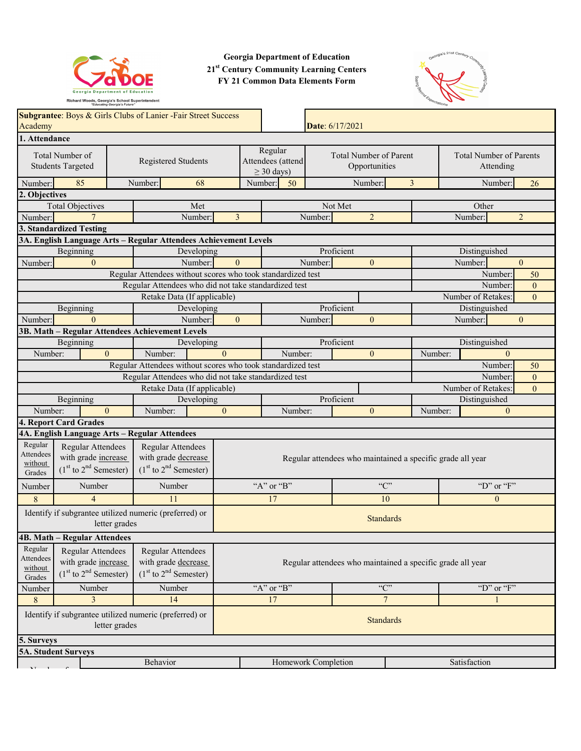

**Georgia Department of Education 21st Century Community Learning Centers FY 21 Common Data Elements Form**



| Academy                                                                                                                                                                                            | Subgrantee: Boys & Girls Clubs of Lanier - Fair Street Success<br>Date: 6/17/2021 |               |                                                             |                                                            |                                                      |                                                |                     |                                             |                           |                |                |                    |                    |                |                |
|----------------------------------------------------------------------------------------------------------------------------------------------------------------------------------------------------|-----------------------------------------------------------------------------------|---------------|-------------------------------------------------------------|------------------------------------------------------------|------------------------------------------------------|------------------------------------------------|---------------------|---------------------------------------------|---------------------------|----------------|----------------|--------------------|--------------------|----------------|----------------|
| 1. Attendance                                                                                                                                                                                      |                                                                                   |               |                                                             |                                                            |                                                      |                                                |                     |                                             |                           |                |                |                    |                    |                |                |
| Total Number of<br>Registered Students<br><b>Students Targeted</b>                                                                                                                                 |                                                                                   |               | Regular<br>Attendees (attend<br>$\geq$ 30 days)             |                                                            |                                                      | <b>Total Number of Parent</b><br>Opportunities |                     | <b>Total Number of Parents</b><br>Attending |                           |                |                |                    |                    |                |                |
| Number:                                                                                                                                                                                            | 85                                                                                |               | Number:                                                     | 68                                                         |                                                      | Number:                                        | 50                  |                                             |                           | Number:        | $\overline{3}$ |                    | Number:            |                | 26             |
| 2. Objectives                                                                                                                                                                                      |                                                                                   |               |                                                             |                                                            |                                                      |                                                |                     |                                             |                           |                |                |                    |                    |                |                |
|                                                                                                                                                                                                    | <b>Total Objectives</b>                                                           |               |                                                             | Met                                                        |                                                      |                                                |                     |                                             | Not Met                   |                |                |                    | Other              |                |                |
| Number:                                                                                                                                                                                            | $\overline{7}$                                                                    |               |                                                             | Number:                                                    | $\overline{3}$                                       |                                                |                     | Number:                                     |                           | $\overline{2}$ |                |                    | Number:            | $\overline{2}$ |                |
|                                                                                                                                                                                                    | 3. Standardized Testing                                                           |               |                                                             |                                                            |                                                      |                                                |                     |                                             |                           |                |                |                    |                    |                |                |
|                                                                                                                                                                                                    | 3A. English Language Arts - Regular Attendees Achievement Levels                  |               |                                                             |                                                            |                                                      |                                                |                     |                                             |                           |                |                |                    |                    |                |                |
|                                                                                                                                                                                                    | Beginning                                                                         |               |                                                             | Developing                                                 |                                                      |                                                |                     |                                             | Proficient                |                |                |                    | Distinguished      |                |                |
| Number:                                                                                                                                                                                            | $\Omega$                                                                          |               |                                                             | Number:                                                    | $\mathbf{0}$                                         |                                                |                     | Number:                                     |                           | $\Omega$       |                |                    | Number:            | $\overline{0}$ |                |
|                                                                                                                                                                                                    |                                                                                   |               | Regular Attendees without scores who took standardized test |                                                            |                                                      |                                                |                     |                                             |                           |                |                |                    | Number:            |                | 50             |
|                                                                                                                                                                                                    |                                                                                   |               | Regular Attendees who did not take standardized test        |                                                            |                                                      |                                                |                     |                                             |                           |                |                |                    | Number:            |                | $\overline{0}$ |
|                                                                                                                                                                                                    |                                                                                   |               | Retake Data (If applicable)                                 |                                                            |                                                      |                                                |                     |                                             |                           |                |                |                    | Number of Retakes: |                | $\theta$       |
|                                                                                                                                                                                                    | Beginning                                                                         |               |                                                             | Developing                                                 |                                                      |                                                |                     |                                             | Proficient                |                |                |                    | Distinguished      |                |                |
| Number:                                                                                                                                                                                            | $\Omega$                                                                          |               |                                                             | Number:                                                    | $\mathbf{0}$                                         |                                                |                     | Number:                                     |                           | $\theta$       |                |                    | Number:            | $\overline{0}$ |                |
|                                                                                                                                                                                                    | 3B. Math - Regular Attendees Achievement Levels                                   |               |                                                             |                                                            |                                                      |                                                |                     |                                             |                           |                |                |                    |                    |                |                |
|                                                                                                                                                                                                    | Beginning                                                                         |               |                                                             | Developing                                                 |                                                      |                                                |                     |                                             | Proficient                |                |                |                    | Distinguished      |                |                |
| Number:                                                                                                                                                                                            | $\Omega$                                                                          |               | Number:                                                     |                                                            | $\Omega$                                             |                                                | Number:             |                                             |                           | $\theta$       | Number:        |                    | $\Omega$           |                |                |
|                                                                                                                                                                                                    |                                                                                   |               | Regular Attendees without scores who took standardized test |                                                            |                                                      |                                                |                     |                                             |                           |                |                |                    | Number:            |                | 50             |
|                                                                                                                                                                                                    |                                                                                   |               |                                                             |                                                            | Regular Attendees who did not take standardized test |                                                |                     |                                             | Number:<br>$\overline{0}$ |                |                |                    |                    |                |                |
|                                                                                                                                                                                                    |                                                                                   |               | Retake Data (If applicable)                                 |                                                            |                                                      |                                                |                     |                                             |                           |                |                | Number of Retakes: |                    | $\overline{0}$ |                |
|                                                                                                                                                                                                    | Beginning                                                                         |               |                                                             | Developing                                                 |                                                      |                                                |                     |                                             | Proficient                |                |                |                    | Distinguished      |                |                |
| Number:                                                                                                                                                                                            | $\theta$                                                                          |               | Number:                                                     |                                                            | $\mathbf{0}$                                         |                                                | Number:             |                                             |                           | $\Omega$       | Number:        |                    | $\mathbf{0}$       |                |                |
|                                                                                                                                                                                                    | 4. Report Card Grades                                                             |               |                                                             |                                                            |                                                      |                                                |                     |                                             |                           |                |                |                    |                    |                |                |
|                                                                                                                                                                                                    | 4A. English Language Arts - Regular Attendees                                     |               |                                                             |                                                            |                                                      |                                                |                     |                                             |                           |                |                |                    |                    |                |                |
| Regular<br>Regular Attendees<br>Regular Attendees<br>Attendees<br>with grade increase<br>with grade decrease<br>without<br>$(1st$ to $2nd$ Semester)<br>$(1st$ to $2nd$ Semester)<br>Grades        |                                                                                   |               |                                                             | Regular attendees who maintained a specific grade all year |                                                      |                                                |                     |                                             |                           |                |                |                    |                    |                |                |
| Number                                                                                                                                                                                             | Number                                                                            |               | Number                                                      |                                                            |                                                      |                                                | "A" or "B"          |                                             |                           | C              |                |                    | "D" or " $F$ "     |                |                |
| 8                                                                                                                                                                                                  | $\overline{4}$                                                                    |               | 11                                                          |                                                            |                                                      |                                                | 17                  |                                             |                           | 10             |                |                    | $\overline{0}$     |                |                |
|                                                                                                                                                                                                    | Identify if subgrantee utilized numeric (preferred) or                            | letter grades |                                                             |                                                            | <b>Standards</b>                                     |                                                |                     |                                             |                           |                |                |                    |                    |                |                |
|                                                                                                                                                                                                    | <b>4B. Math - Regular Attendees</b>                                               |               |                                                             |                                                            |                                                      |                                                |                     |                                             |                           |                |                |                    |                    |                |                |
| Regular<br><b>Regular Attendees</b><br>Regular Attendees<br>Attendees<br>with grade increase<br>with grade decrease<br>without<br>$(1st$ to $2nd$ Semester)<br>$(1st$ to $2nd$ Semester)<br>Grades |                                                                                   |               | Regular attendees who maintained a specific grade all year  |                                                            |                                                      |                                                |                     |                                             |                           |                |                |                    |                    |                |                |
| Number                                                                                                                                                                                             | Number                                                                            |               | Number                                                      |                                                            |                                                      |                                                | "A" or "B"          |                                             |                           | C              |                |                    | "D" or " $F$ "     |                |                |
| $\,8\,$                                                                                                                                                                                            | 3                                                                                 |               | 14                                                          |                                                            |                                                      |                                                | 17                  |                                             |                           | $\overline{7}$ |                |                    |                    |                |                |
| Identify if subgrantee utilized numeric (preferred) or<br><b>Standards</b><br>letter grades                                                                                                        |                                                                                   |               |                                                             |                                                            |                                                      |                                                |                     |                                             |                           |                |                |                    |                    |                |                |
| 5. Surveys                                                                                                                                                                                         |                                                                                   |               |                                                             |                                                            |                                                      |                                                |                     |                                             |                           |                |                |                    |                    |                |                |
| 5A. Student Surveys                                                                                                                                                                                |                                                                                   |               |                                                             |                                                            |                                                      |                                                |                     |                                             |                           |                |                |                    |                    |                |                |
|                                                                                                                                                                                                    |                                                                                   |               | Behavior                                                    |                                                            |                                                      |                                                | Homework Completion |                                             |                           |                |                |                    | Satisfaction       |                |                |
|                                                                                                                                                                                                    |                                                                                   |               |                                                             |                                                            |                                                      |                                                |                     |                                             |                           |                |                |                    |                    |                |                |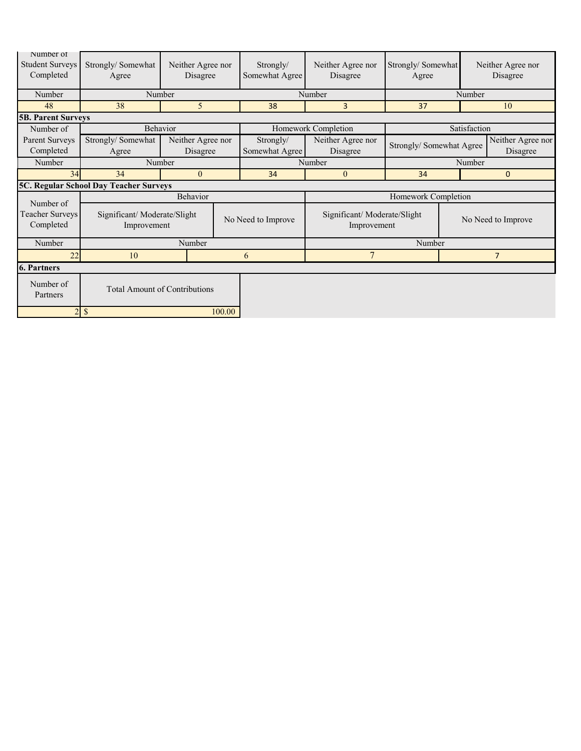| Number of<br><b>Student Surveys</b><br>Completed | Strongly/Somewhat<br>Agree             | Neither Agree nor<br>Disagree              |        | Strongly/<br>Somewhat Agree                                      | Neither Agree nor<br>Disagree | Strongly/Somewhat<br>Agree |                | Neither Agree nor<br>Disagree |  |
|--------------------------------------------------|----------------------------------------|--------------------------------------------|--------|------------------------------------------------------------------|-------------------------------|----------------------------|----------------|-------------------------------|--|
| Number                                           | Number                                 |                                            |        |                                                                  | Number                        | Number                     |                |                               |  |
| 48                                               | 38                                     | 5                                          |        | 38                                                               | 3                             | 37                         |                | 10                            |  |
| <b>5B. Parent Surveys</b>                        |                                        |                                            |        |                                                                  |                               |                            |                |                               |  |
| Number of                                        | Behavior                               |                                            |        |                                                                  | Homework Completion           |                            | Satisfaction   |                               |  |
| Parent Surveys<br>Completed                      | Strongly/Somewhat<br>Agree             | Neither Agree nor<br>Disagree              |        | Strongly/<br>Somewhat Agree                                      | Neither Agree nor<br>Disagree | Strongly/ Somewhat Agree   |                | Neither Agree nor<br>Disagree |  |
| Number                                           | Number                                 |                                            |        |                                                                  | Number                        | Number                     |                |                               |  |
| 34                                               | 34                                     | $\theta$                                   |        | 34                                                               | $\mathbf{0}$                  | 34                         |                | 0                             |  |
|                                                  | 5C. Regular School Day Teacher Surveys |                                            |        |                                                                  |                               |                            |                |                               |  |
| Number of                                        |                                        | Behavior                                   |        |                                                                  |                               | Homework Completion        |                |                               |  |
| Teacher Surveys<br>Completed                     |                                        | Significant/Moderate/Slight<br>Improvement |        | Significant/Moderate/Slight<br>No Need to Improve<br>Improvement |                               |                            |                | No Need to Improve            |  |
| Number                                           |                                        | Number                                     |        |                                                                  |                               | Number                     |                |                               |  |
| 22                                               | 10                                     |                                            | 6      | 7                                                                |                               |                            | $\overline{7}$ |                               |  |
| <b>6. Partners</b>                               |                                        |                                            |        |                                                                  |                               |                            |                |                               |  |
| Number of<br>Partners                            | <b>Total Amount of Contributions</b>   |                                            |        |                                                                  |                               |                            |                |                               |  |
| $\overline{2}$                                   | $\mathbb{S}$                           |                                            | 100.00 |                                                                  |                               |                            |                |                               |  |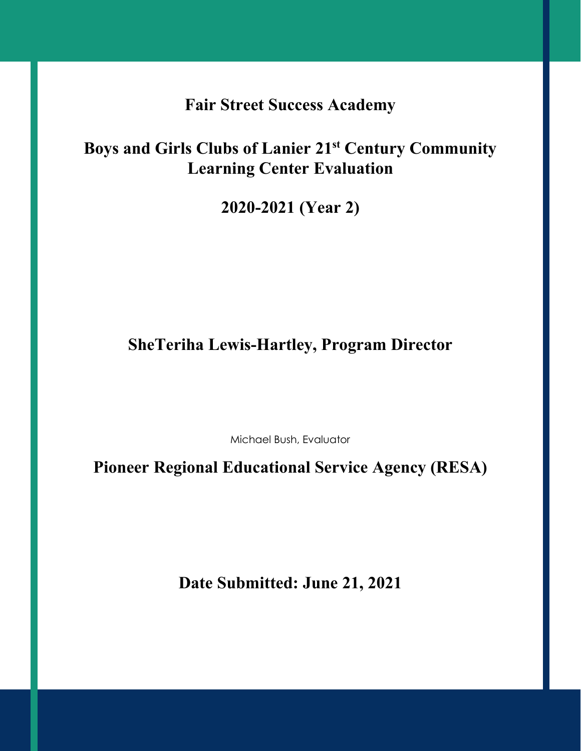**Fair Street Success Academy**

# **Boys and Girls Clubs of Lanier 21st Century Community Learning Center Evaluation**

**2020-2021 (Year 2)**

# **SheTeriha Lewis-Hartley, Program Director**

Michael Bush, Evaluator

**Pioneer Regional Educational Service Agency (RESA)**

**Date Submitted: June 21, 2021**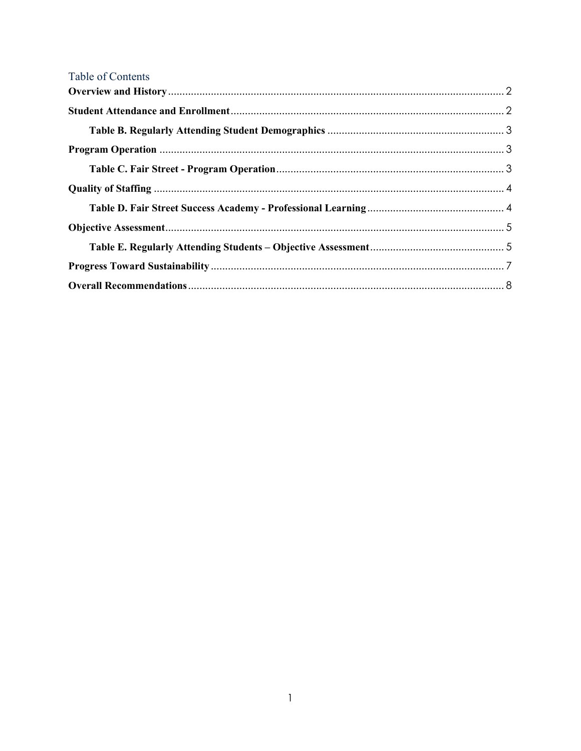| Table of Contents |  |
|-------------------|--|
|                   |  |
|                   |  |
|                   |  |
|                   |  |
|                   |  |
|                   |  |
|                   |  |
|                   |  |
|                   |  |
|                   |  |
|                   |  |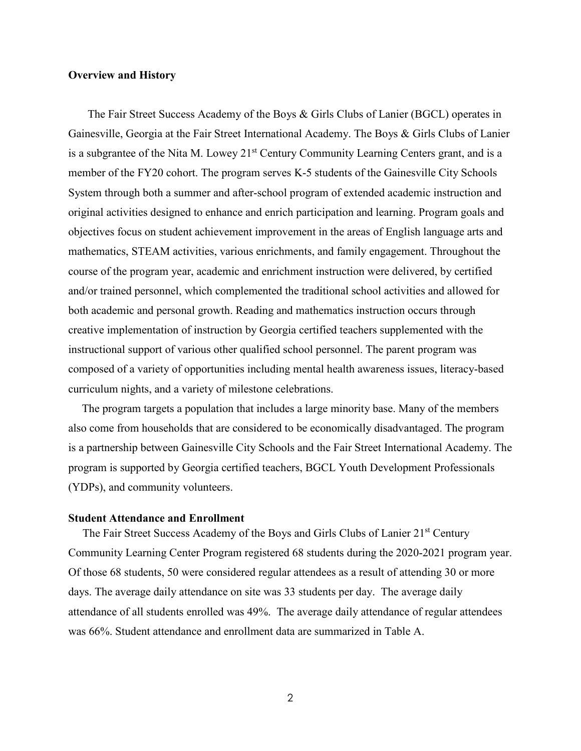#### <span id="page-4-0"></span>**Overview and History**

 The Fair Street Success Academy of the Boys & Girls Clubs of Lanier (BGCL) operates in Gainesville, Georgia at the Fair Street International Academy. The Boys & Girls Clubs of Lanier is a subgrantee of the Nita M. Lowey 21<sup>st</sup> Century Community Learning Centers grant, and is a member of the FY20 cohort. The program serves K-5 students of the Gainesville City Schools System through both a summer and after-school program of extended academic instruction and original activities designed to enhance and enrich participation and learning. Program goals and objectives focus on student achievement improvement in the areas of English language arts and mathematics, STEAM activities, various enrichments, and family engagement. Throughout the course of the program year, academic and enrichment instruction were delivered, by certified and/or trained personnel, which complemented the traditional school activities and allowed for both academic and personal growth. Reading and mathematics instruction occurs through creative implementation of instruction by Georgia certified teachers supplemented with the instructional support of various other qualified school personnel. The parent program was composed of a variety of opportunities including mental health awareness issues, literacy-based curriculum nights, and a variety of milestone celebrations.

The program targets a population that includes a large minority base. Many of the members also come from households that are considered to be economically disadvantaged. The program is a partnership between Gainesville City Schools and the Fair Street International Academy. The program is supported by Georgia certified teachers, BGCL Youth Development Professionals (YDPs), and community volunteers.

#### <span id="page-4-1"></span>**Student Attendance and Enrollment**

The Fair Street Success Academy of the Boys and Girls Clubs of Lanier 21<sup>st</sup> Century Community Learning Center Program registered 68 students during the 2020-2021 program year. Of those 68 students, 50 were considered regular attendees as a result of attending 30 or more days. The average daily attendance on site was 33 students per day. The average daily attendance of all students enrolled was 49%. The average daily attendance of regular attendees was 66%. Student attendance and enrollment data are summarized in Table A.

2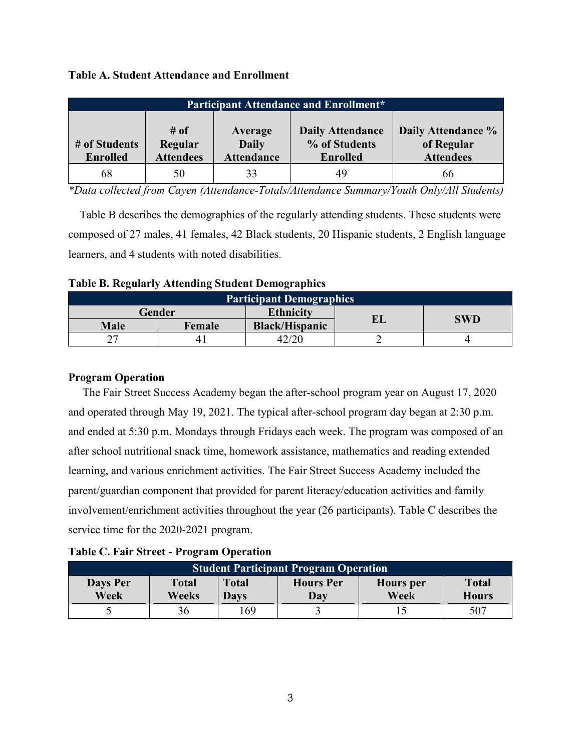## **Table A. Student Attendance and Enrollment**

| <b>Participant Attendance and Enrollment*</b> |                                     |                                              |                                                             |                                                      |  |  |  |
|-----------------------------------------------|-------------------------------------|----------------------------------------------|-------------------------------------------------------------|------------------------------------------------------|--|--|--|
| # of Students<br><b>Enrolled</b>              | # of<br>Regular<br><b>Attendees</b> | Average<br><b>Daily</b><br><b>Attendance</b> | <b>Daily Attendance</b><br>% of Students<br><b>Enrolled</b> | Daily Attendance %<br>of Regular<br><b>Attendees</b> |  |  |  |
| 68                                            | 50                                  | 33                                           | 49                                                          | 66                                                   |  |  |  |

*\*Data collected from Cayen (Attendance-Totals/Attendance Summary/Youth Only/All Students)*

 Table B describes the demographics of the regularly attending students. These students were composed of 27 males, 41 females, 42 Black students, 20 Hispanic students, 2 English language learners, and 4 students with noted disabilities.

<span id="page-5-0"></span>

|  |  | <b>Table B. Regularly Attending Student Demographics</b> |
|--|--|----------------------------------------------------------|
|  |  |                                                          |

| <b>Participant Demographics</b> |        |                       |    |            |  |  |  |
|---------------------------------|--------|-----------------------|----|------------|--|--|--|
|                                 | Gender | <b>Ethnicity</b>      | ЕL | <b>SWD</b> |  |  |  |
| <b>Male</b>                     | Female | <b>Black/Hispanic</b> |    |            |  |  |  |
|                                 | 4.     |                       |    |            |  |  |  |

### <span id="page-5-1"></span>**Program Operation**

 The Fair Street Success Academy began the after-school program year on August 17, 2020 and operated through May 19, 2021. The typical after-school program day began at 2:30 p.m. and ended at 5:30 p.m. Mondays through Fridays each week. The program was composed of an after school nutritional snack time, homework assistance, mathematics and reading extended learning, and various enrichment activities. The Fair Street Success Academy included the parent/guardian component that provided for parent literacy/education activities and family involvement/enrichment activities throughout the year (26 participants). Table C describes the service time for the 2020-2021 program.

<span id="page-5-2"></span>

| <b>Student Participant Program Operation</b> |                       |                      |                         |                          |                              |  |  |
|----------------------------------------------|-----------------------|----------------------|-------------------------|--------------------------|------------------------------|--|--|
| Days Per<br>Week                             | <b>Total</b><br>Weeks | <b>Total</b><br>Davs | <b>Hours</b> Per<br>Day | <b>Hours</b> per<br>Week | <b>Total</b><br><b>Hours</b> |  |  |
|                                              |                       | .69                  |                         |                          | 507                          |  |  |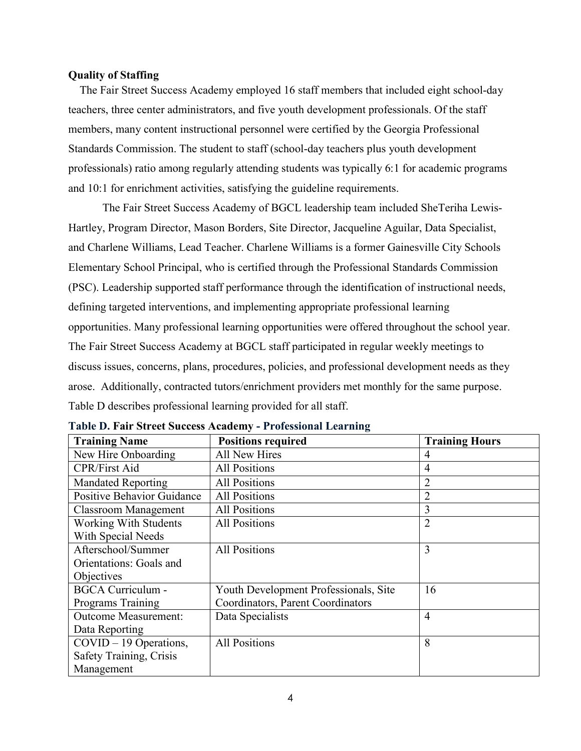#### <span id="page-6-0"></span>**Quality of Staffing**

 The Fair Street Success Academy employed 16 staff members that included eight school-day teachers, three center administrators, and five youth development professionals. Of the staff members, many content instructional personnel were certified by the Georgia Professional Standards Commission. The student to staff (school-day teachers plus youth development professionals) ratio among regularly attending students was typically 6:1 for academic programs and 10:1 for enrichment activities, satisfying the guideline requirements.

The Fair Street Success Academy of BGCL leadership team included SheTeriha Lewis-Hartley, Program Director, Mason Borders, Site Director, Jacqueline Aguilar, Data Specialist, and Charlene Williams, Lead Teacher. Charlene Williams is a former Gainesville City Schools Elementary School Principal, who is certified through the Professional Standards Commission (PSC). Leadership supported staff performance through the identification of instructional needs, defining targeted interventions, and implementing appropriate professional learning opportunities. Many professional learning opportunities were offered throughout the school year. The Fair Street Success Academy at BGCL staff participated in regular weekly meetings to discuss issues, concerns, plans, procedures, policies, and professional development needs as they arose. Additionally, contracted tutors/enrichment providers met monthly for the same purpose. Table D describes professional learning provided for all staff.

| <b>Training Name</b>              | <b>Positions required</b>             | <b>Training Hours</b> |
|-----------------------------------|---------------------------------------|-----------------------|
| New Hire Onboarding               | <b>All New Hires</b>                  | 4                     |
| <b>CPR/First Aid</b>              | <b>All Positions</b>                  | 4                     |
| <b>Mandated Reporting</b>         | <b>All Positions</b>                  | 2                     |
| <b>Positive Behavior Guidance</b> | <b>All Positions</b>                  | $\overline{2}$        |
| <b>Classroom Management</b>       | <b>All Positions</b>                  | 3                     |
| <b>Working With Students</b>      | <b>All Positions</b>                  | $\overline{2}$        |
| With Special Needs                |                                       |                       |
| Afterschool/Summer                | <b>All Positions</b>                  | 3                     |
| Orientations: Goals and           |                                       |                       |
| Objectives                        |                                       |                       |
| <b>BGCA Curriculum -</b>          | Youth Development Professionals, Site | 16                    |
| Programs Training                 | Coordinators, Parent Coordinators     |                       |
| <b>Outcome Measurement:</b>       | Data Specialists                      | $\overline{4}$        |
| Data Reporting                    |                                       |                       |
| $COVID - 19$ Operations,          | <b>All Positions</b>                  | 8                     |
| Safety Training, Crisis           |                                       |                       |
| Management                        |                                       |                       |

<span id="page-6-1"></span>**Table D. Fair Street Success Academy - Professional Learning**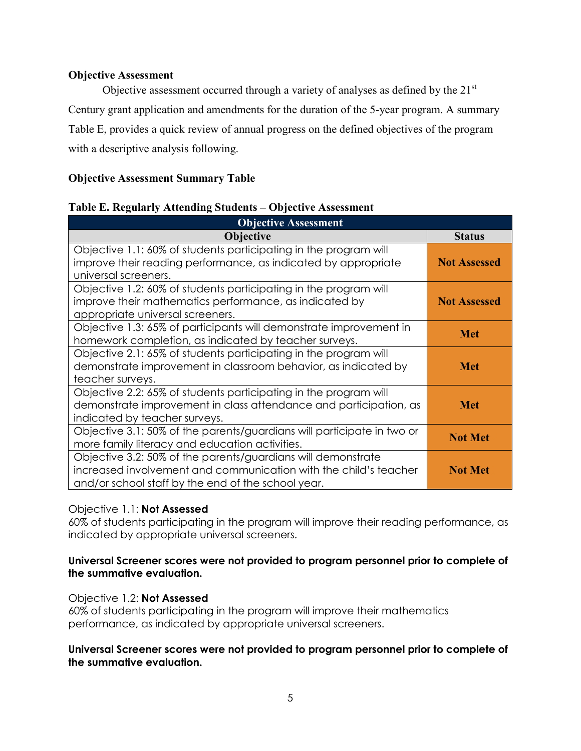## <span id="page-7-0"></span>**Objective Assessment**

Objective assessment occurred through a variety of analyses as defined by the 21<sup>st</sup> Century grant application and amendments for the duration of the 5-year program. A summary Table E, provides a quick review of annual progress on the defined objectives of the program with a descriptive analysis following.

# **Objective Assessment Summary Table**

## <span id="page-7-1"></span>**Table E. Regularly Attending Students – Objective Assessment**

| <b>Objective Assessment</b>                                                                                                                                                            |                     |
|----------------------------------------------------------------------------------------------------------------------------------------------------------------------------------------|---------------------|
| <b>Objective</b>                                                                                                                                                                       | <b>Status</b>       |
| Objective 1.1: 60% of students participating in the program will                                                                                                                       |                     |
| improve their reading performance, as indicated by appropriate<br>universal screeners.                                                                                                 | <b>Not Assessed</b> |
| Objective 1.2: 60% of students participating in the program will<br>improve their mathematics performance, as indicated by<br>appropriate universal screeners.                         | <b>Not Assessed</b> |
| Objective 1.3: 65% of participants will demonstrate improvement in<br>homework completion, as indicated by teacher surveys.                                                            | <b>Met</b>          |
| Objective 2.1: 65% of students participating in the program will<br>demonstrate improvement in classroom behavior, as indicated by<br>teacher surveys.                                 | <b>Met</b>          |
| Objective 2.2: 65% of students participating in the program will<br>demonstrate improvement in class attendance and participation, as<br>indicated by teacher surveys.                 | Met                 |
| Objective 3.1: 50% of the parents/guardians will participate in two or<br>more family literacy and education activities.                                                               | <b>Not Met</b>      |
| Objective 3.2: 50% of the parents/guardians will demonstrate<br>increased involvement and communication with the child's teacher<br>and/or school staff by the end of the school year. | <b>Not Met</b>      |

# Objective 1.1: **Not Assessed**

60% of students participating in the program will improve their reading performance, as indicated by appropriate universal screeners.

## **Universal Screener scores were not provided to program personnel prior to complete of the summative evaluation.**

# Objective 1.2: **Not Assessed**

60% of students participating in the program will improve their mathematics performance, as indicated by appropriate universal screeners.

### **Universal Screener scores were not provided to program personnel prior to complete of the summative evaluation.**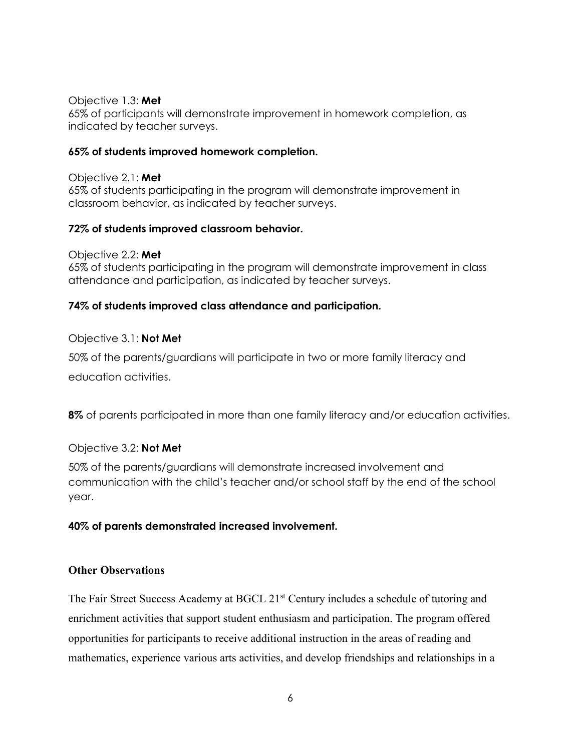Objective 1.3: **Met**

65% of participants will demonstrate improvement in homework completion, as indicated by teacher surveys.

## **65% of students improved homework completion.**

Objective 2.1: **Met** 65% of students participating in the program will demonstrate improvement in classroom behavior, as indicated by teacher surveys.

## **72% of students improved classroom behavior.**

Objective 2.2: **Met** 65% of students participating in the program will demonstrate improvement in class attendance and participation, as indicated by teacher surveys.

# **74% of students improved class attendance and participation.**

# Objective 3.1: **Not Met**

50% of the parents/guardians will participate in two or more family literacy and education activities.

**8%** of parents participated in more than one family literacy and/or education activities.

# Objective 3.2: **Not Met**

50% of the parents/guardians will demonstrate increased involvement and communication with the child's teacher and/or school staff by the end of the school year.

# **40% of parents demonstrated increased involvement.**

### **Other Observations**

The Fair Street Success Academy at BGCL 21<sup>st</sup> Century includes a schedule of tutoring and enrichment activities that support student enthusiasm and participation. The program offered opportunities for participants to receive additional instruction in the areas of reading and mathematics, experience various arts activities, and develop friendships and relationships in a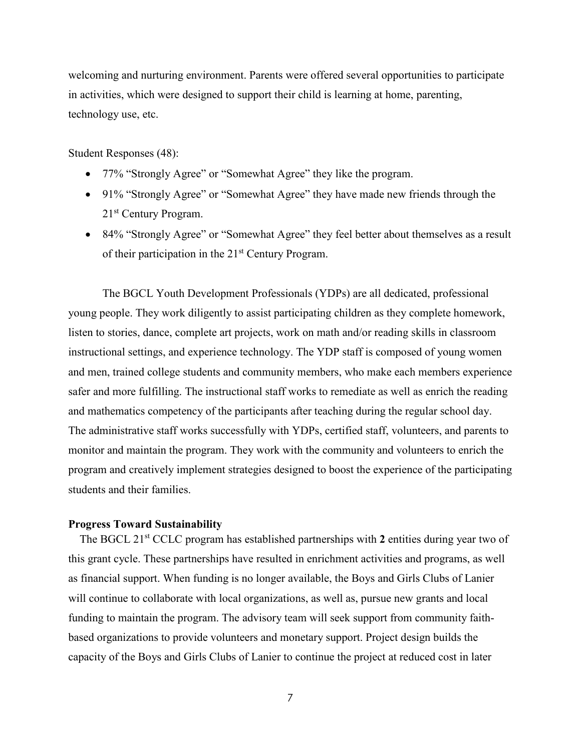welcoming and nurturing environment. Parents were offered several opportunities to participate in activities, which were designed to support their child is learning at home, parenting, technology use, etc.

Student Responses (48):

- 77% "Strongly Agree" or "Somewhat Agree" they like the program.
- 91% "Strongly Agree" or "Somewhat Agree" they have made new friends through the 21st Century Program.
- 84% "Strongly Agree" or "Somewhat Agree" they feel better about themselves as a result of their participation in the  $21<sup>st</sup>$  Century Program.

The BGCL Youth Development Professionals (YDPs) are all dedicated, professional young people. They work diligently to assist participating children as they complete homework, listen to stories, dance, complete art projects, work on math and/or reading skills in classroom instructional settings, and experience technology. The YDP staff is composed of young women and men, trained college students and community members, who make each members experience safer and more fulfilling. The instructional staff works to remediate as well as enrich the reading and mathematics competency of the participants after teaching during the regular school day. The administrative staff works successfully with YDPs, certified staff, volunteers, and parents to monitor and maintain the program. They work with the community and volunteers to enrich the program and creatively implement strategies designed to boost the experience of the participating students and their families.

#### <span id="page-9-0"></span>**Progress Toward Sustainability**

The BGCL 21<sup>st</sup> CCLC program has established partnerships with 2 entities during year two of this grant cycle. These partnerships have resulted in enrichment activities and programs, as well as financial support. When funding is no longer available, the Boys and Girls Clubs of Lanier will continue to collaborate with local organizations, as well as, pursue new grants and local funding to maintain the program. The advisory team will seek support from community faithbased organizations to provide volunteers and monetary support. Project design builds the capacity of the Boys and Girls Clubs of Lanier to continue the project at reduced cost in later

7